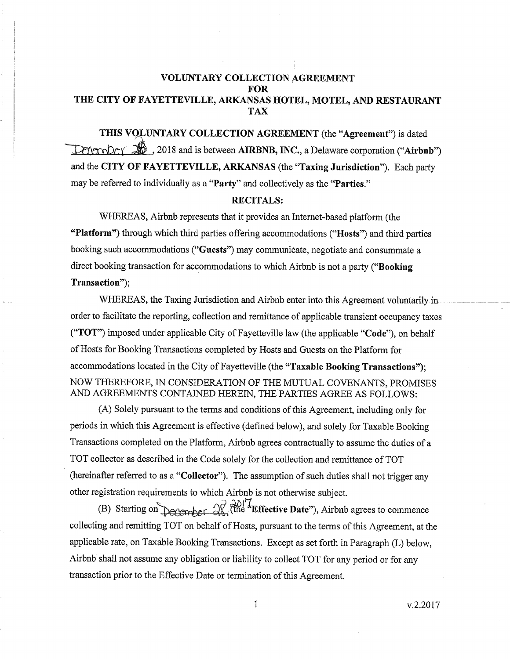# VOLUNTARY COLLECTION AGREEMENT FOR THE CITY OF FAYETTEVILLE, ARKANSAS HOTEL, MOTEL, AND RESTAURANT TAX

and the CITY OF FAYETTEVILLE, ARKANSAS (the "Taxing Jurisdiction'). Each party may be referred to individually as a "Party" and collectively as the "Parties." THIS VOLUNTARY COLLECTION AGREEMENT (the "Agreement") is dated  $D$ Membey  $\widehat{200}$ , 2018 and is between **AIRBNB, INC.**, a Delaware corporation ("Airbnb")

#### RECITALS:

WHEREAS, Airbnb represents that it provides an Internet-based platform (the "Platform") through which third parties offering accommodations ("Hosts") and third parties booking such accommodations ("Guests") may communicate, negotiate and consummate a direct booking transaction for accommodations to which Airbnb is not a party ("Booking") Transaction");

WHEREAS, the Taxing Jurisdiction and Airbnb enter into this Agreement voluntarily in order to facilitate the reporting, collection and remittance of applicable transient occupancy taxes ("TOT') imposed under applicable City of Fayetteville law (the applicable "Code"), on behalf of Hosts for Booking Transactions completed by Hosts and Guests on the Platform for accommodations located in the City of Fayetteville (the "Taxable Booking Transactions"); NOV/ THEREFORE, IN CONSIDERATION OF THE MUTUAL COVENANTS, PROMISES AND AGREEMENTS CONTAINED HEREIN, THE PARTIES AGREE AS FOLLOWS:

(A) Solely pursuant to the terms and conditions of this Agreement, including only for periods in which this Agreement is effective (defined below), and solely for Taxable Booking Transactions completed on the Platform, Airbnb agrees contractually to assume the duties of a TOT collector as described in the Code solely for the collection and remittance of TOT (hereinafter referred to as a "Collector"). The assumption of such duties shall not trigger any other registration requirements to which Airbnb is not otherwise subject.

(B) Starting on performing  $\mathcal{R}^{\partial \mathcal{U}^{\dagger}'}$ . The "Effective Date"), Airbnb agrees to commence collecting and remitting TOT on behalf of Hosts, pursuant to the terms of this Agreement, at the applicable rate, on Taxable Booking Transactions. Except as set forth in Paragraph (L) below, Airbnb shall not assume any obligation or liability to collect TOT for any period or for any transaction prior to the Effective Date or termination of this Agreement.

v,2.2017

 $\mathbbm{1}$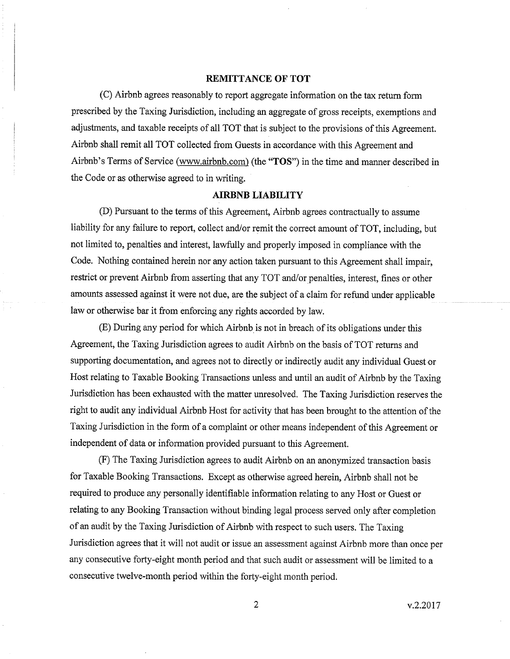#### REMITTANCE OF TOT

(C) Airbnb agrees reasonably to report aggregate information on the tax return form prescribed by the Taxing Jurisdiction, including an aggregate of gross receipts, exemptions and adjustments, and taxable receipts of all TOT that is subject to the provisions of this Agreement. Airbnb shall remit all TOT collected from Guests in accordance with this Agreement and Airbnb's Terms of Service (www.airbnb.com) (the "TOS") in the time and manner described in the Code or as otherwise agreed to in writing.

### AIRBNB LIABILITY

(D) Pursuant to the terms of this Agreement, Airbnb agrees contractually to assume liability for any failure to report, collect and/or remit the correct amount of TOT, including, but not limited to, penalties and interest, lawfully and properly imposed in compliance with the Code. Nothing contained herein nor any action taken pursuant to this Agreement shall impair, restrict or prevent Airbnb from asserting that any TOT and/or penalties, interest, fines or other amounts assessed against it were not due, are the subject of a claim for refund under applicable law or otherwise bar it from enforcing any rights accorded by law.

(E) During any period for which Airbnb is not in breach of its obligations under this Agreement, the Taxing Jurisdiction agrees to audit Airbnb on the basis of TOT returns and supporting documentation, and agrees not to directly or indirectly audit any individual Guest or Host relating to Taxable Booking Transactions unless and until an audit of Airbnb by the Taxing Jurisdiction has been exhausted with the matter unresolved. The Taxing Jurisdiction reserves the right to audit any individual Airbnb Host for activity that has been brought to the attention of the Taxing Jurisdiction in the form of a complaint or other means independent of this Agreement or independent of data or information provided pursuant to this Agreement.

(F) The Taxing Jurisdiction agrees to audit Airbnb on an anonymizedtransaction basis for Taxable Booking Transactions. Except as otherwise agreed herein, Airbnb shall not be required to produce any personally identifiable information relating to any Host or Guest or relating to any Booking Transaction without binding legal process served only after completion of an audit by the Taxing Jurisdiction of Airbnb with respect to such users. The Taxing Jurisdiction agrees that it will not audit or issue an assessment against Airbnb more than once per any consecutive forty-eight month period and that such audit or assessment will be limited to a consecutive twelve-month period within the forty-eight month period.

 $\overline{2}$ 

v.2.2017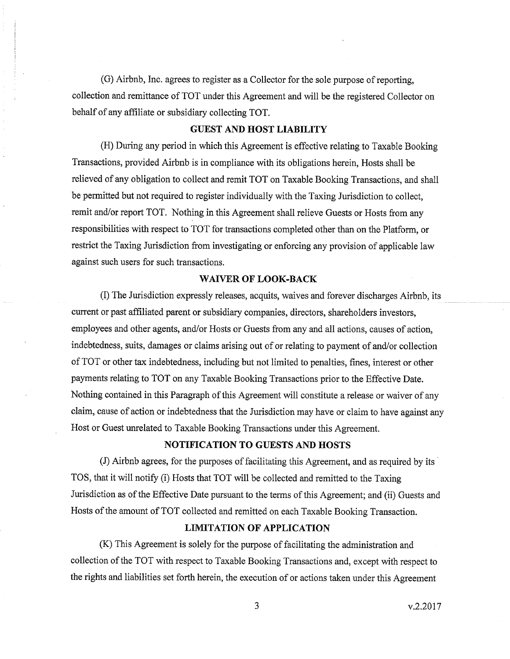(G) Airbnb, Inc. agrees to register as a Collector for the sole purpose of reporting, collection and remittance of TOT under this Agreement and will be the registered Collector on behalf of any affiliate or subsidiary collecting TOT.

# GUEST AND HOST LIABILITY

(H) During any period in which this Agreement is effective relating to Taxable Booking Transactions, provided Airbnb is in compliance with its obligations herein, Hosts shall be relieved of any obligation to collect and remit TOT on Taxable Booking Transactions, and shall be permitted but not required to register individually with the Taxing Jurisdiction to collect, remit and/or report TOT. Nothing in this Agreement shall relieve Guests or Hosts from any responsibilities with respect to TOT for transactions completed other than on the Piatform, or restrict the Taxing Jurisdiction from investigating or enforcing any provision of applicable law against such users for such transactions.

#### WAIVER OF LOOK-BACK

O The Jurisdiction expressly releases, acquits, waives and forever discharges Airbnb, its current or past affiliated parent or subsidiary companies, directors, shareholders investors, employees and other agents, and/or Hosts or Guests from any and all actions, causes of action, indebtedness, suits, damages or claims arising out of or relating to payment of and/or collection of TOT or other tax indebtedness, including but not limited to penalties, fines, interest or other payments relating to TOT on any Taxable Booking Transactions prior to the Effective Date. Nothing contained in this Paragraph of this Agreement will constitute a release or waiver of any claim, cause of action or indebtedness that the Jurisdiction may have or claim to have against any Host or Guest unrelated to Taxable Booking Transactions under this Agreement.

## NOTIFICATION TO GUESTS AND HOSTS

(J) Airbnb agrees, for the purposes of facilitating this Agreement, and as required by its TOS, that it will notify (i) Hosts that TOT will be collected and remitted to the Taxing Jurisdiction as of the Effective Date pursuant to the terms of this Agreement; and (ii) Guests and Hosts of the amount of TOT collected and remitted on each Taxable Booking Transaction.

# LIMITATION OF APPLICATION

(K) This Agreement is solely for the purpose of facilitating the administration and collection of the TOT with respect to Taxable Booking Transactions and, except with respect to the rights and liabilities set forth herein, the execution of or actions taken under this Agreement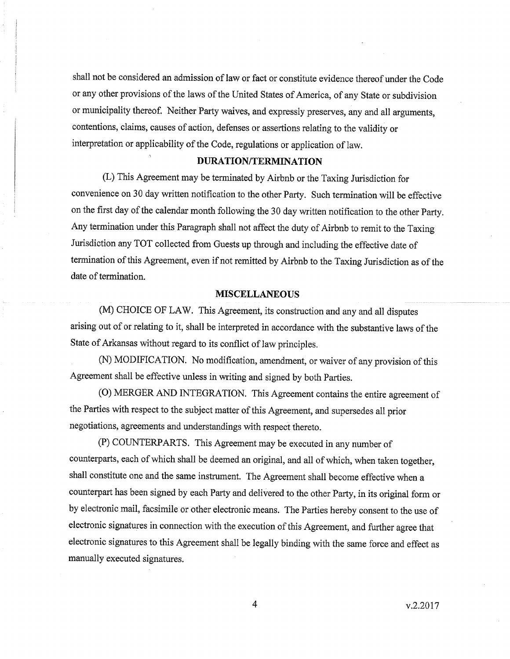shall not be considered an admission of law or fact or constitute evidence thereof under the Code or any other provisions of the laws of the United States of America, of any State or subdivision or municipality thereof. Neither Party waives, and expressly preserves, any and all arguments, contentions, claims, causes of action, defenses or assertions relating to the validity or interpretation or applicability of the code, regulations or application of law.

# DURATION/TERMINATION

(L) This Agreement may be terminated by Airbnb or the Taxing Jurisdiction for convenience on 30 day written notification to the other Party. Such termination will be effective on the first day of the calendar month following the 30 day written notification to the other Party. Any termination under this Paragraph shall not affect the duty of Airbnb to remit to the Taxing Jurisdiction any TOT collected from Guests up through and including the effective date of termination of this Agreement, even if not remitted by Airbnb to the Taxing Jurisdiction as of the date of termination.

#### **MISCELLANEOUS**

(M) CHOICE OF LAW. This Agreement, its construction and any and all disputes arising out of or relating to it, shall be interpreted in accordance with the substantive laws of the State of Arkansas without regard to its conflict of law principles.

(N) MODIFICATION. No modification, amendment, or waiver of any provision of this Agreement shall be effective unless in writing and signed by both parties.

(O) MERGER AND INTEGRATION. This Agreement contains the entire agreement of the Parties with respect to the subject matter of this Agreement, and supersedes all prior negotiations, agreements and understandings with respect thereto.

(P) COUNTERPARTS. This Agreemenr may be execured in any number of counterparts, each of which shall be deemed an original, and all of which, when taken together, shall constitute one and the same instrument. The Agreement shall become effective when <sup>a</sup> counterpart has been signed by each Party and delivered to the other Party, in its original form or by electronic mail, facsimile or other electronic means. The Parties hereby consent to the use of electronic signatures in connection with the execution of this Agreement, and further agree that electronic signatures to this Agreement shall be legally binding with the same foroe and effect as manually executed signatures.

 $\overline{4}$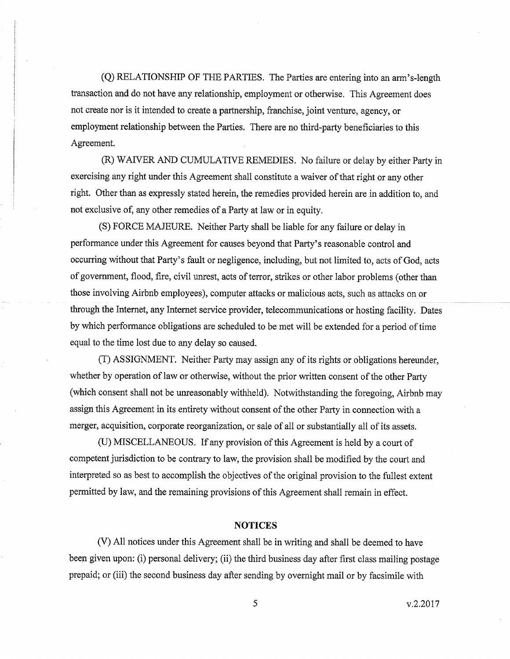(Q) RELATIONSHIP OF THE PARTIES. The Parties are entering into an arm's-length transaction and do not have any relationship, employment or otherwise. This Agreement does not create nor is it intended to create a partnership, franchise, joint venture, agency, or employment relationship between the Parties. There are no third-party beneficiaries to this Agreement.

(R) WAIVER AND CUMULATTVE REMEDIES. No failure or delay by either Party in exercising any right under this Agreement shall constitute a waiver of that right or any other right. Other than as expressly stated herein, the remedies provided herein are in addition to, ând not exclusive of, any other remedies of a Party at law or in equity.

(S) FORCE MAJEURE. Neither Party shall be liable for any failure or delay in performance under this Agreement for causes beyond that Parfy's reasonable control and occurring without that Party's fault or negligence, including, but not limited to, acts of God, acts of government, flood, fire, civil unrest, acts of terror, strikes or other labor problems (other than those involving Airbnb employees), computer attacks or malicious acts, such as attacks on or through the Internet, any Internet service provider, telecommunications or hosting facility. Dates by which performance obligations are scheduled to be met will be extended for a period of time equal to the time lost due to any delay so caused.

(T) ASSIGNMENT. Neither Party may assign any of its rights or obligations hereunder, whether by operation of law or otherwise, without the prior written consent of the other Party (which consent shall not be unreasonably withheld). Notwithstanding the foregoing, Airbnb may assign this Agreement in its entirety without consent of the other Party in connection with a merger, acquisition, corporate rcorganization, or sale of all or substantially all of its assets.

(U) MISCELLANEOUS. If any provision of this Agreement is held by a court of competent jurisdiction to be contrary to law, the provision shall be modified by the court and interpreted so as best to accomplish the objectives of the original provision to the fullest extent permitted by law, and the remaining provisions of this Agreement shall remain in effect.

#### **NOTICES**

(V) All notices under this Agreement shall be in writing and shall be deemed to have been given upon: (i) personal delivery; (ii) the third business day after first class mailing postage prepaid; or (iii) the second business day after sending by overnight mail or by facsimile with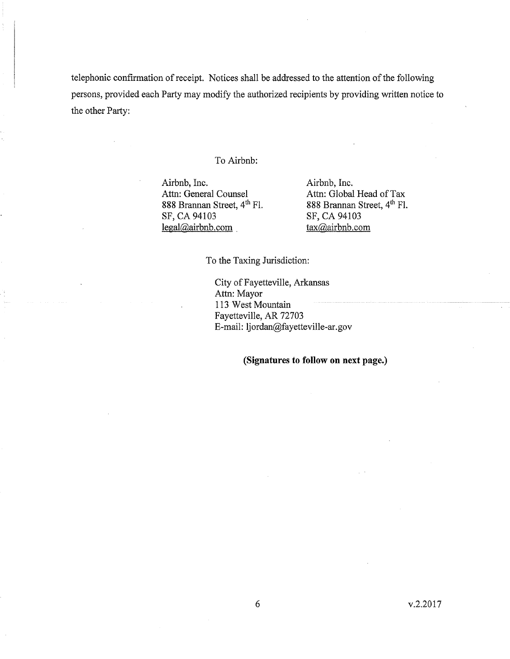telephonic confirmation of receipt. Notices shall be addressed to the attention of the following persons, provided each Party may modify the authorized recipients by providing written notice to the other Party:

### To Airbnb:

Airbnb, Inc.<br>
Attn: General Counsel<br>
Attn: Global Attn: General Counsel Attn: Global Head of Tax<br>
888 Brannan Street,  $4^{\text{th}}$  Fl. 888 Brannan Street,  $4^{\text{th}}$  Fl. 888 Brannan Street,  $4^{th}$  Fl. 888 Brannan Street,  $4^{th}$  Fl. SF, CA 94103 legal@airbnb.com tax@airbnb.com

SF, CA 94103

To the Taxing Jurisdiction:

City of Fayetteville, Arkansas Attn: Mayor , 113 West Mountain Fayetteville, AR 72703 E-mail: ljordan@fayetteville-ar.gov

(Signatures to follow on next page.)

v.2.2017